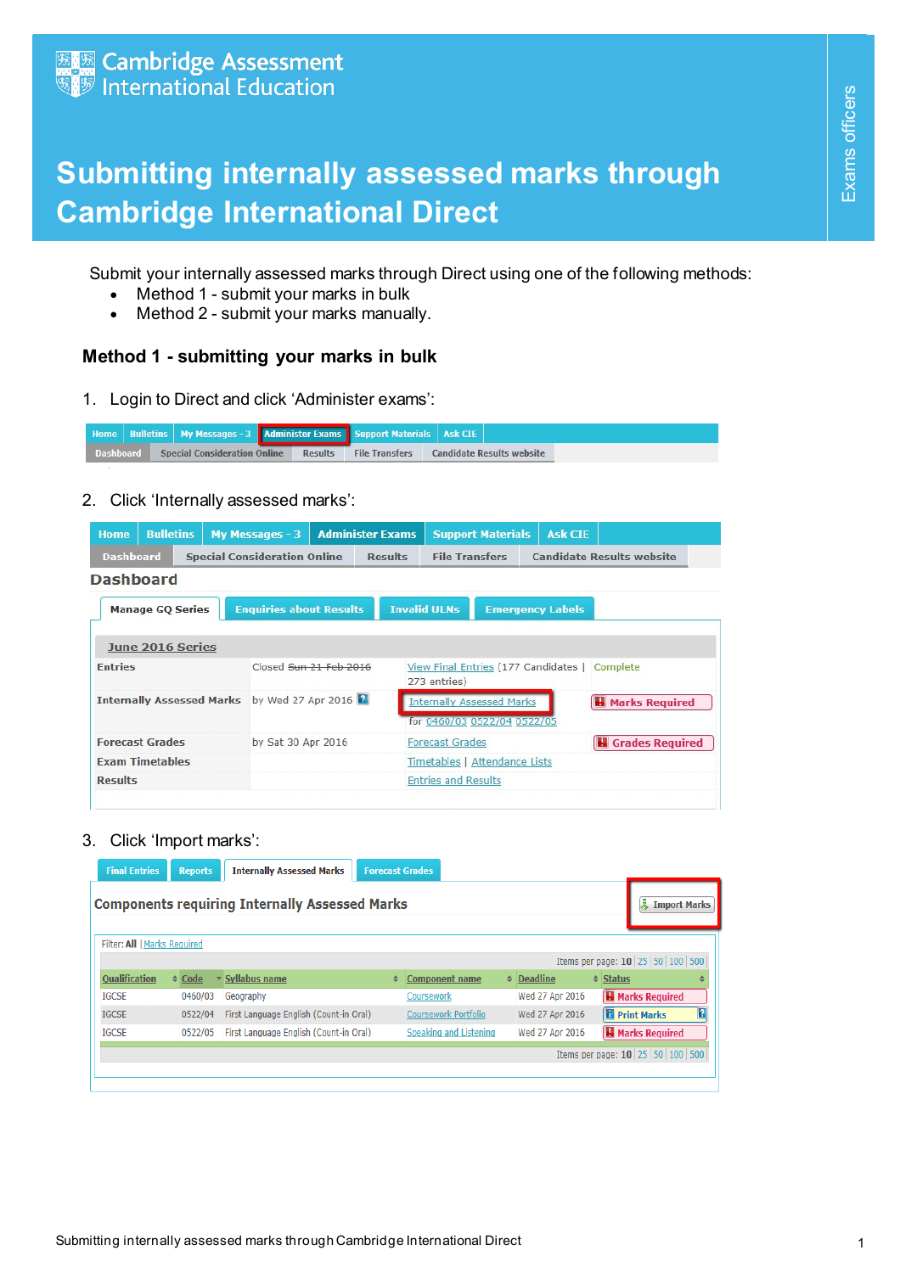## **Submitting internally assessed marks through Cambridge International Direct**

- Method 1 submit your marks in bulk
- Method 2 submit your marks manually.

## **Method 1 - submitting your marks in bulk**

|  |  |  | <b>Home   Bulletins   My Messages - 3   Administer Exams   Support Materials   Ask CIE  </b> |                |                       |  |                                  |  |
|--|--|--|----------------------------------------------------------------------------------------------|----------------|-----------------------|--|----------------------------------|--|
|  |  |  | <b>Dashboard Special Consideration Online</b>                                                | <b>Results</b> | <b>File Transfers</b> |  | <b>Candidate Results website</b> |  |

| $\bullet$                    |                                     | Submit your internally assessed marks through Direct using one of the following methods:<br>Method 1 - submit your marks in bulk<br>Method 2 - submit your marks manually. |                                                                |                                    |                                                               |  |
|------------------------------|-------------------------------------|----------------------------------------------------------------------------------------------------------------------------------------------------------------------------|----------------------------------------------------------------|------------------------------------|---------------------------------------------------------------|--|
|                              |                                     | Method 1 - submitting your marks in bulk                                                                                                                                   |                                                                |                                    |                                                               |  |
| 1.                           |                                     | Login to Direct and click 'Administer exams':                                                                                                                              |                                                                |                                    |                                                               |  |
| <b>Bulletins</b><br>Home     | My Messages - 3                     | <b>Administer Exams</b>                                                                                                                                                    | <b>Support Materials</b><br><b>Ask CIE</b>                     |                                    |                                                               |  |
| <b>Dashboard</b>             | <b>Special Consideration Online</b> | <b>Results</b>                                                                                                                                                             | <b>File Transfers</b><br><b>Candidate Results website</b>      |                                    |                                                               |  |
| 2.                           |                                     | Click 'Internally assessed marks':                                                                                                                                         |                                                                |                                    |                                                               |  |
| <b>Home</b>                  | <b>Bulletins</b>                    | My Messages - 3<br><b>Administer Exams</b>                                                                                                                                 | <b>Support Materials</b>                                       | <b>Ask CIE</b>                     |                                                               |  |
| <b>Dashboard</b>             |                                     | <b>Special Consideration Online</b>                                                                                                                                        | <b>File Transfers</b><br><b>Results</b>                        |                                    | <b>Candidate Results website</b>                              |  |
| <b>Dashboard</b>             |                                     |                                                                                                                                                                            |                                                                |                                    |                                                               |  |
| <b>Manage GQ Series</b>      |                                     | <b>Enquiries about Results</b>                                                                                                                                             | <b>Invalid ULNs</b>                                            | <b>Emergency Labels</b>            |                                                               |  |
| June 2016 Series             |                                     |                                                                                                                                                                            |                                                                |                                    |                                                               |  |
| <b>Entries</b>               |                                     | Closed Sun 21 Feb 2016                                                                                                                                                     | View Final Entries (177 Candidates   Complete                  |                                    |                                                               |  |
|                              |                                     | Internally Assessed Marks by Wed 27 Apr 2016                                                                                                                               | 273 entries)                                                   |                                    |                                                               |  |
|                              |                                     |                                                                                                                                                                            | <b>Internally Assessed Marks</b><br>for 0460/03 0522/04 0522/0 |                                    | <b>H</b> Marks Required                                       |  |
| <b>Forecast Grades</b>       |                                     | by Sat 30 Apr 2016                                                                                                                                                         | <b>Forecast Grades</b>                                         |                                    | <b>H</b> Grades Required                                      |  |
| <b>Exam Timetables</b>       |                                     |                                                                                                                                                                            | Timetables   Attendance Lists                                  |                                    |                                                               |  |
| <b>Results</b>               |                                     |                                                                                                                                                                            | <b>Entries and Results</b>                                     |                                    |                                                               |  |
|                              |                                     |                                                                                                                                                                            |                                                                |                                    |                                                               |  |
| 3.                           | Click 'Import marks':               |                                                                                                                                                                            |                                                                |                                    |                                                               |  |
| <b>Final Entries</b>         | <b>Reports</b>                      | <b>Internally Assessed Marks</b>                                                                                                                                           | <b>Forecast Grades</b>                                         |                                    |                                                               |  |
|                              |                                     | <b>Components requiring Internally Assessed Marks</b>                                                                                                                      |                                                                |                                    | <b>最 Import Marks</b>                                         |  |
|                              |                                     |                                                                                                                                                                            |                                                                |                                    |                                                               |  |
| Filter: All   Marks Required |                                     |                                                                                                                                                                            |                                                                |                                    | Items per page: 10   25   50   100   500                      |  |
|                              | $\div$ Code                         | ▼ Syllabus name                                                                                                                                                            | <b>Component name</b>                                          | ♦ <b>Deadline</b>                  | $\triangleq$ Status                                           |  |
| <b>Qualification</b>         | 0460/03                             | Geography<br>First Language English (Count-in Oral)                                                                                                                        | Coursework<br>Coursework Portfolio                             | Wed 27 Apr 2016<br>Wed 27 Apr 2016 | <b>H</b> Marks Required<br><b>Print Marks</b>                 |  |
| <b>IGCSE</b>                 |                                     |                                                                                                                                                                            |                                                                |                                    |                                                               |  |
| <b>IGCSE</b><br><b>IGCSE</b> | 0522/04                             | 0522/05 First Language English (Count-in Oral)                                                                                                                             | Speaking and Listening                                         | Wed 27 Apr 2016                    |                                                               |  |
|                              |                                     |                                                                                                                                                                            |                                                                |                                    | <b>H</b> Marks Required<br>Items per page: $10 25 50 100 500$ |  |

| <b>Final Entries</b>                                               | <b>Reports</b>                                        | <b>Internally Assessed Marks</b>       | <b>Forecast Grades</b> |                             |  |                 |                     |                                    |    |  |  |  |
|--------------------------------------------------------------------|-------------------------------------------------------|----------------------------------------|------------------------|-----------------------------|--|-----------------|---------------------|------------------------------------|----|--|--|--|
|                                                                    | <b>Components requiring Internally Assessed Marks</b> |                                        |                        |                             |  |                 |                     |                                    |    |  |  |  |
| Filter: All   Marks Required<br>Items per page: $10 25 50 100 500$ |                                                       |                                        |                        |                             |  |                 |                     |                                    |    |  |  |  |
|                                                                    |                                                       |                                        |                        |                             |  |                 |                     |                                    |    |  |  |  |
| <b>Qualification</b>                                               | $\div$ Code                                           | Syllabus name                          | ÷                      | <b>Component name</b>       |  | $\div$ Deadline | $\triangleq$ Status |                                    |    |  |  |  |
| <b>IGCSE</b>                                                       | 0460/03                                               | Geography                              |                        | Coursework                  |  | Wed 27 Apr 2016 |                     | <b>H</b> Marks Required            |    |  |  |  |
| <b>IGCSE</b>                                                       | 0522/04                                               | First Language English (Count-in Oral) |                        | <b>Coursework Portfolio</b> |  | Wed 27 Apr 2016 |                     | <b>F</b> Print Marks               | 17 |  |  |  |
| <b>IGCSE</b>                                                       | 0522/05                                               | First Language English (Count-in Oral) |                        | Speaking and Listening      |  | Wed 27 Apr 2016 |                     | <b>H</b> Marks Required            |    |  |  |  |
|                                                                    |                                                       |                                        |                        |                             |  |                 |                     | Items per page: $10 25 50 100 500$ |    |  |  |  |
|                                                                    |                                                       |                                        |                        |                             |  |                 |                     |                                    |    |  |  |  |
|                                                                    |                                                       |                                        |                        |                             |  |                 |                     |                                    |    |  |  |  |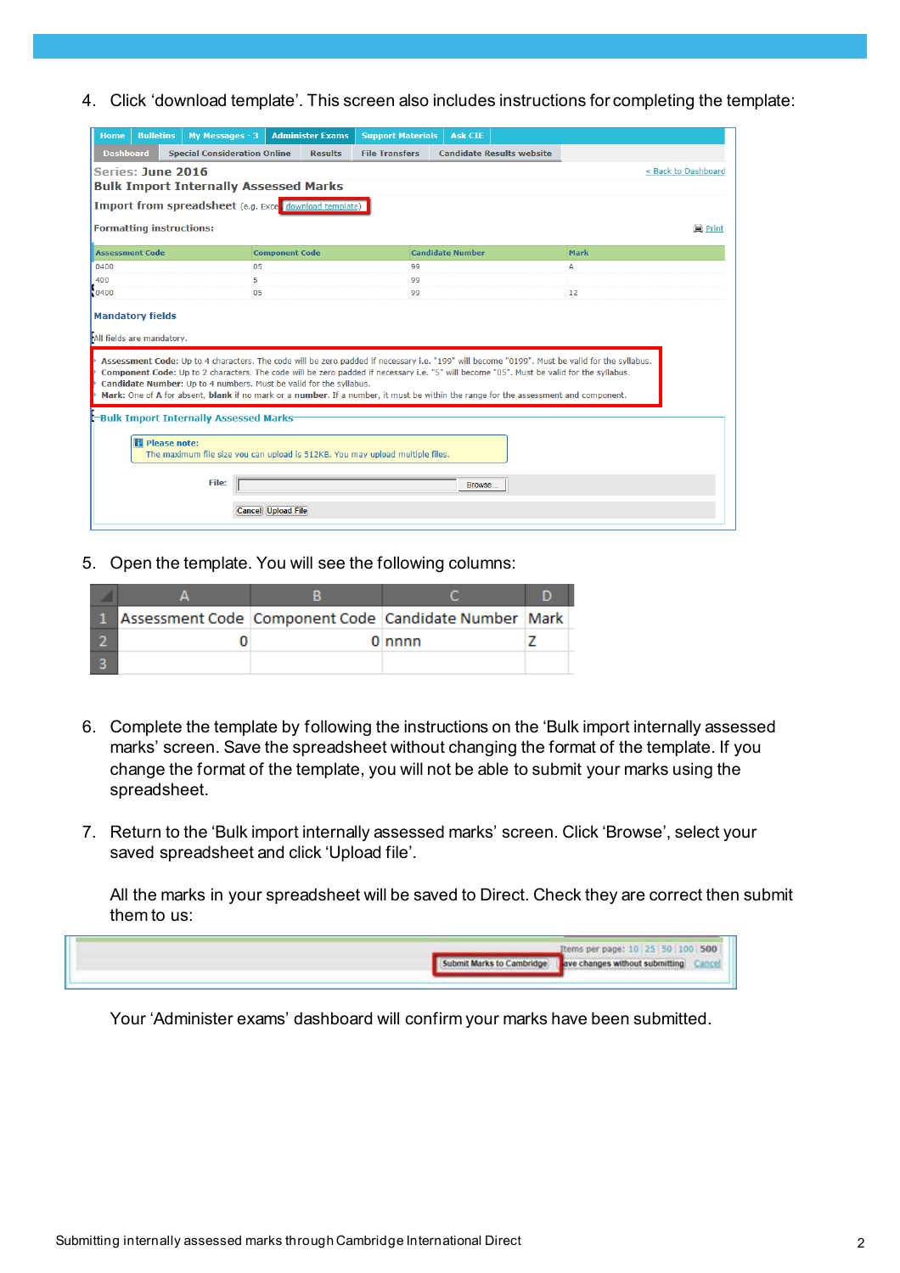4. Click 'download template'. This screen also includes instructions for completing the template:

| <b>Bulletins</b><br><b>Home</b>                       | My Messages - 3                              | <b>Administer Exams</b>                                                       | <b>Support Materials</b> | <b>Ask CIE</b>                                                                                                                                                                                                                                                                                                                                                                                                                   |             |                     |  |  |  |  |  |
|-------------------------------------------------------|----------------------------------------------|-------------------------------------------------------------------------------|--------------------------|----------------------------------------------------------------------------------------------------------------------------------------------------------------------------------------------------------------------------------------------------------------------------------------------------------------------------------------------------------------------------------------------------------------------------------|-------------|---------------------|--|--|--|--|--|
| <b>Dashboard</b>                                      | <b>Special Consideration Online</b>          | <b>Results</b>                                                                | <b>File Transfers</b>    | <b>Candidate Results website</b>                                                                                                                                                                                                                                                                                                                                                                                                 |             |                     |  |  |  |  |  |
| Series: June 2016                                     |                                              |                                                                               |                          |                                                                                                                                                                                                                                                                                                                                                                                                                                  |             | « Back to Dashboard |  |  |  |  |  |
| <b>Bulk Import Internally Assessed Marks</b>          |                                              |                                                                               |                          |                                                                                                                                                                                                                                                                                                                                                                                                                                  |             |                     |  |  |  |  |  |
| Import from spreadsheet (e.g. Exce download template) |                                              |                                                                               |                          |                                                                                                                                                                                                                                                                                                                                                                                                                                  |             |                     |  |  |  |  |  |
| <b>Formatting instructions:</b><br>iiii Print         |                                              |                                                                               |                          |                                                                                                                                                                                                                                                                                                                                                                                                                                  |             |                     |  |  |  |  |  |
| <b>Assessment Code</b>                                |                                              | <b>Component Code</b>                                                         |                          | <b>Candidate Number</b>                                                                                                                                                                                                                                                                                                                                                                                                          | <b>Mark</b> |                     |  |  |  |  |  |
| 0400                                                  | 05                                           |                                                                               | 99                       |                                                                                                                                                                                                                                                                                                                                                                                                                                  | A           |                     |  |  |  |  |  |
| 400                                                   | 5                                            |                                                                               | 99                       |                                                                                                                                                                                                                                                                                                                                                                                                                                  |             |                     |  |  |  |  |  |
| 0400                                                  | 05                                           |                                                                               | 99                       |                                                                                                                                                                                                                                                                                                                                                                                                                                  | 12          |                     |  |  |  |  |  |
| All fields are mandatory.                             |                                              | Candidate Number: Up to 4 numbers. Must be valid for the syllabus.            |                          | Assessment Code: Up to 4 characters. The code will be zero padded if necessary i.e. "199" will become "0199". Must be valid for the syllabus.<br>Component Code: Up to 2 characters. The code will be zero padded if necessary i.e. "5" will become "05". Must be valid for the syllabus.<br>Mark: One of A for absent, blank if no mark or a number. If a number, it must be within the range for the assessment and component. |             |                     |  |  |  |  |  |
|                                                       | <b>Bulk Import Internally Assessed Marks</b> |                                                                               |                          |                                                                                                                                                                                                                                                                                                                                                                                                                                  |             |                     |  |  |  |  |  |
| <b>Fi</b> Please note:                                |                                              | The maximum file size you can upload is 512KB. You may upload multiple files. |                          |                                                                                                                                                                                                                                                                                                                                                                                                                                  |             |                     |  |  |  |  |  |
|                                                       | File:                                        |                                                                               |                          | <b>Browse</b>                                                                                                                                                                                                                                                                                                                                                                                                                    |             |                     |  |  |  |  |  |
|                                                       |                                              | <b>Cancel Upload File</b>                                                     |                          |                                                                                                                                                                                                                                                                                                                                                                                                                                  |             |                     |  |  |  |  |  |

5. Open the template. You will see the following columns:

|  | Assessment Code   Component Code   Candidate Number   Mark |  |
|--|------------------------------------------------------------|--|
|  | $0$ nnnn                                                   |  |
|  |                                                            |  |

- 6. Complete the template by following the instructions on the 'Bulk import internally assessed marks' screen. Save the spreadsheet without changing the format of the template. If you change the format of the template, you will not be able to submit your marks using the spreadsheet.
- 7. Return to the 'Bulk import internally assessed marks' screen. Click 'Browse', select your saved spreadsheet and click 'Upload file'.

All the marks in your spreadsheet will be saved to Direct. Check they are correct then submit them to us:

|                                                          | Items per page: 10 25 50 100 500 |
|----------------------------------------------------------|----------------------------------|
| Submit Marks to Cambridge ave changes without submitting |                                  |
|                                                          |                                  |

Your 'Administer exams' dashboard will confirm your marks have been submitted.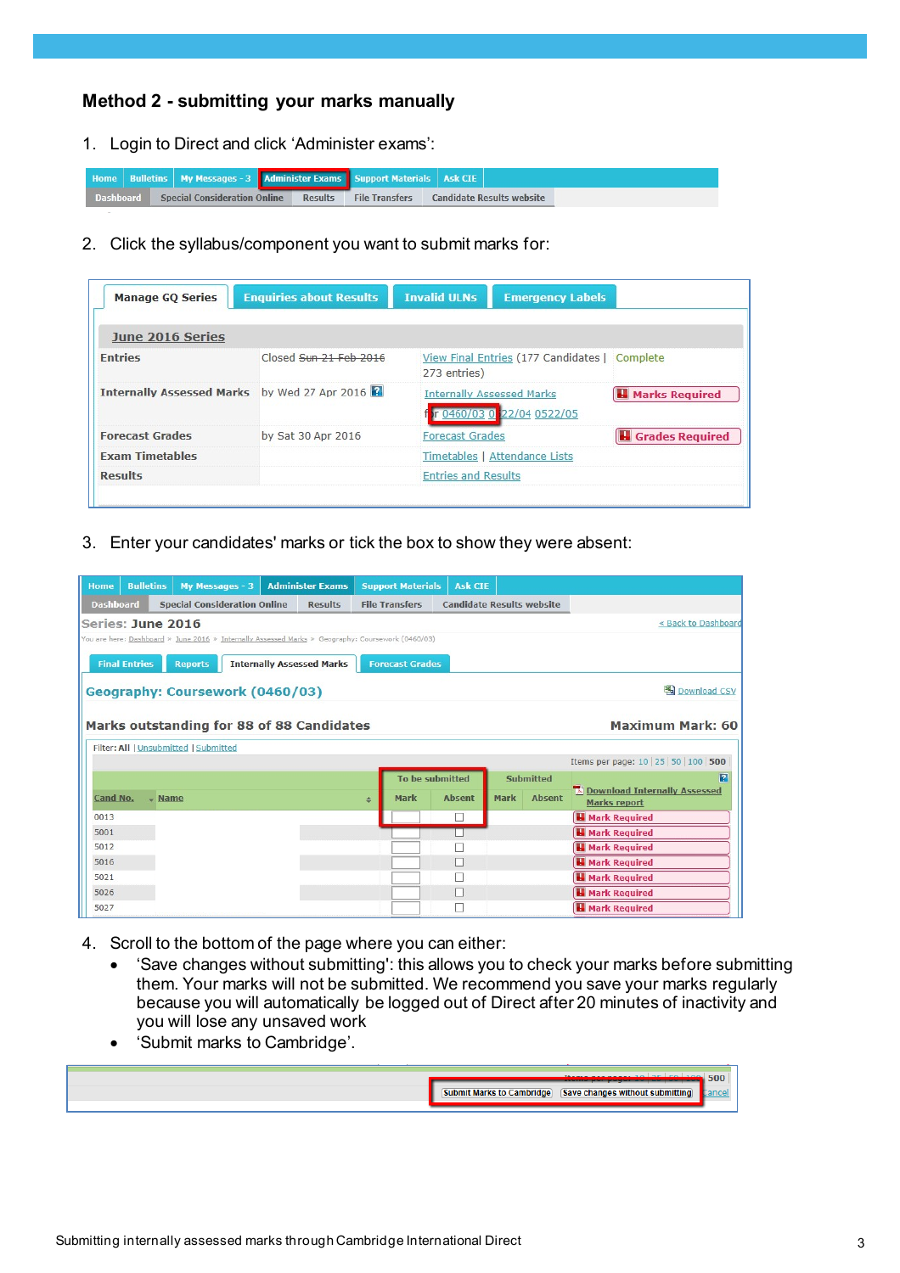## **Method 2 - submitting your marks manually**

1. Login to Direct and click 'Administer exams':

|  |  |                                               | <b>Home</b> Bulletins My Messages - 3 <b>Administer Exams</b> Support Materials Ask CIE |         |                       |                                  |
|--|--|-----------------------------------------------|-----------------------------------------------------------------------------------------|---------|-----------------------|----------------------------------|
|  |  | <b>Dashboard Special Consideration Online</b> |                                                                                         | Results | <b>File Transfers</b> | <b>Candidate Results website</b> |

2. Click the syllabus/component you want to submit marks for:

| <b>Manage GQ Series</b>                      | <b>Enquiries about Results</b> | <b>Invalid ULNs</b><br><b>Emergency Labels</b>                |                          |
|----------------------------------------------|--------------------------------|---------------------------------------------------------------|--------------------------|
| June 2016 Series                             |                                |                                                               |                          |
| <b>Entries</b>                               | Closed Sun 21 Feb 2016         | View Final Entries (177 Candidates   Complete<br>273 entries) |                          |
| Internally Assessed Marks by Wed 27 Apr 2016 |                                | <b>Internally Assessed Marks</b><br>r 0460/03 0 22/04 0522/05 | <b>H</b> Marks Required  |
| <b>Forecast Grades</b>                       | by Sat 30 Apr 2016             | <b>Forecast Grades</b>                                        | <b>H</b> Grades Required |
| <b>Exam Timetables</b>                       |                                | Timetables   Attendance Lists                                 |                          |
| <b>Results</b>                               |                                | <b>Entries and Results</b>                                    |                          |

3. Enter your candidates' marks or tick the box to show they were absent:

| <b>Home</b>      | <b>Bulletins</b>     |                                       | My Messages - 3                                                                                   | <b>Administer Exams</b>          |               | <b>Support Materials</b> | <b>Ask CIE</b>                   |             |                  |                                                     |
|------------------|----------------------|---------------------------------------|---------------------------------------------------------------------------------------------------|----------------------------------|---------------|--------------------------|----------------------------------|-------------|------------------|-----------------------------------------------------|
| <b>Dashboard</b> |                      |                                       | <b>Special Consideration Online</b>                                                               | <b>Results</b>                   |               | <b>File Transfers</b>    | <b>Candidate Results website</b> |             |                  |                                                     |
|                  |                      | Series: June 2016                     |                                                                                                   |                                  |               |                          |                                  |             |                  | « Back to Dashboard                                 |
|                  |                      |                                       | You are here: Dashboard » June 2016 » Internally Assessed Marks » Geography: Coursework (0460/03) |                                  |               |                          |                                  |             |                  |                                                     |
|                  | <b>Final Entries</b> | <b>Reports</b>                        |                                                                                                   | <b>Internally Assessed Marks</b> |               | <b>Forecast Grades</b>   |                                  |             |                  |                                                     |
|                  |                      |                                       | Geography: Coursework (0460/03)                                                                   |                                  |               |                          |                                  |             |                  | Download CSV                                        |
|                  |                      |                                       | Marks outstanding for 88 of 88 Candidates                                                         |                                  |               |                          |                                  |             |                  | <b>Maximum Mark: 60</b>                             |
|                  |                      | Filter: All   Unsubmitted   Submitted |                                                                                                   |                                  |               |                          |                                  |             |                  |                                                     |
|                  |                      |                                       |                                                                                                   |                                  |               |                          |                                  |             |                  | Items per page: 10 25 50 100 500                    |
|                  |                      |                                       |                                                                                                   |                                  |               | To be submitted          |                                  |             | <b>Submitted</b> | $\mathbf{E}$                                        |
| Cand No.         |                      | $\sim$ Name                           |                                                                                                   |                                  | $\Rightarrow$ | Mark                     | <b>Absent</b>                    | <b>Mark</b> | <b>Absent</b>    | Download Internally Assessed<br><b>Marks report</b> |
| 0013             |                      |                                       |                                                                                                   |                                  |               |                          |                                  |             |                  | <b>H</b> Mark Required                              |
| 5001             |                      |                                       |                                                                                                   |                                  |               |                          |                                  |             |                  | <b>H</b> Mark Required                              |
| 5012             |                      |                                       |                                                                                                   |                                  |               |                          |                                  |             |                  | <b>H</b> Mark Required                              |
| 5016             |                      |                                       |                                                                                                   |                                  |               |                          |                                  |             |                  | <b>H</b> Mark Required                              |
| 5021             |                      |                                       |                                                                                                   |                                  |               |                          |                                  |             |                  | <b>H</b> Mark Required                              |
| 5026             |                      |                                       |                                                                                                   |                                  |               |                          |                                  |             |                  | <b>H</b> Mark Required                              |
| 5027             |                      |                                       |                                                                                                   |                                  |               |                          |                                  |             |                  | <b>H</b> Mark Required                              |

- 4. Scroll to the bottom of the page where you can either:
	- 'Save changes without submitting': this allows you to check your marks before submitting them. Your marks will not be submitted. We recommend you save your marks regularly because you will automatically be logged out of Direct after 20 minutes of inactivity and you will lose any unsaved work
	- 'Submit marks to Cambridge'.

|             | $10 - 25$ $50 - 100$ 500        |  |
|-------------|---------------------------------|--|
| Cambridge). | Save changes without submitting |  |
|             |                                 |  |